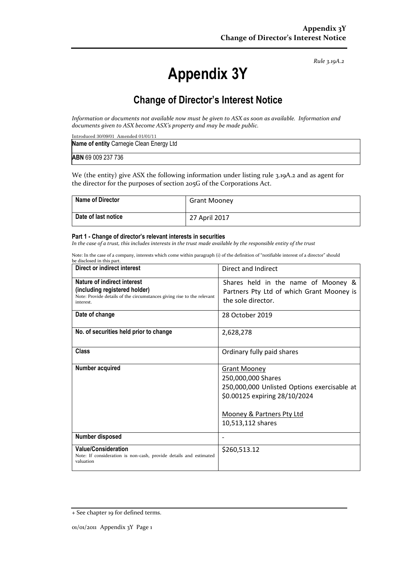*Rule 3.19A.2*

# **Appendix 3Y**

# **Change of Director's Interest Notice**

*Information or documents not available now must be given to ASX as soon as available. Information and documents given to ASX become ASX's property and may be made public.*

| Introduced $30/09/01$ Amended $01/01/11$ |
|------------------------------------------|
| Name of entity Carnegie Clean Energy Ltd |
|                                          |
| <b>ABN</b> 69 009 237 736                |

We (the entity) give ASX the following information under listing rule 3.19A.2 and as agent for the director for the purposes of section 205G of the Corporations Act.

| <b>Name of Director</b> | <b>Grant Mooney</b> |
|-------------------------|---------------------|
| Date of last notice     | 27 April 2017       |

#### **Part 1 - Change of director's relevant interests in securities**

*In the case of a trust, this includes interests in the trust made available by the responsible entity of the trust*

Note: In the case of a company, interests which come within paragraph (i) of the definition of "notifiable interest of a director" should be disclosed in this part.

| Direct or indirect interest                                                                                                                         | Direct and Indirect                                                                                                                                                         |
|-----------------------------------------------------------------------------------------------------------------------------------------------------|-----------------------------------------------------------------------------------------------------------------------------------------------------------------------------|
| Nature of indirect interest<br>(including registered holder)<br>Note: Provide details of the circumstances giving rise to the relevant<br>interest. | Shares held in the name of Mooney &<br>Partners Pty Ltd of which Grant Mooney is<br>the sole director.                                                                      |
| Date of change                                                                                                                                      | 28 October 2019                                                                                                                                                             |
| No. of securities held prior to change                                                                                                              | 2,628,278                                                                                                                                                                   |
| Class                                                                                                                                               | Ordinary fully paid shares                                                                                                                                                  |
| Number acquired                                                                                                                                     | <b>Grant Mooney</b><br>250,000,000 Shares<br>250,000,000 Unlisted Options exercisable at<br>\$0.00125 expiring 28/10/2024<br>Mooney & Partners Pty Ltd<br>10,513,112 shares |
| Number disposed                                                                                                                                     |                                                                                                                                                                             |
| <b>Value/Consideration</b><br>Note: If consideration is non-cash, provide details and estimated<br>valuation                                        | \$260,513.12                                                                                                                                                                |

<sup>+</sup> See chapter 19 for defined terms.